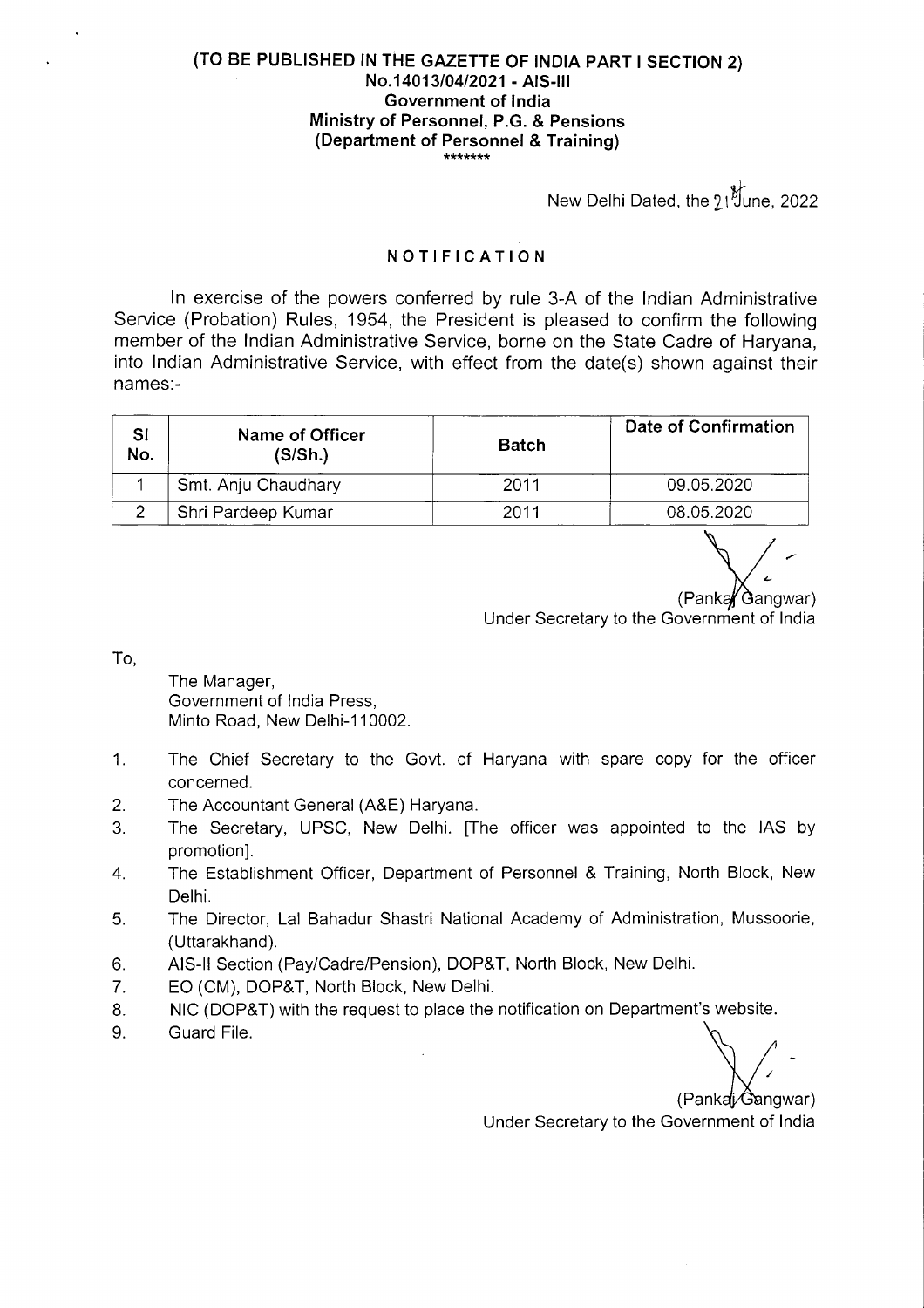## **(TO BE PUBLISHED IN THE GAZETTE OF INDIA PART I SECTION 2) No.14013/04/2021** - **AIS**-Ill **Government of India Ministry of Personnel, P.G. & Pensions (Department of Personnel** & **Training)**

New Delhi Dated, the 21 June, 2022

## **NOTIFICATION**

In exercise of the powers conferred by rule 3-A of the Indian Administrative Service (Probation) Rules, 1954, the President is pleased to confirm the following member of the Indian Administrative Service, borne on the State Cadre of Haryana, into Indian Administrative Service, with effect from the date(s) shown against their **names:**-

| SI<br>No. | Name of Officer<br>(S/Sh.) | <b>Batch</b> | Date of Confirmation |
|-----------|----------------------------|--------------|----------------------|
|           | Smt. Anju Chaudhary        | 2011         | 09.05.2020           |
|           | Shri Pardeep Kumar         | 2011         | 08.05.2020           |

(Panka Gangwar)

Under Secretary to the Government of India

To,

The Manager, Government of India Press, Minto Road, New Delhi-110002.

- 1. The Chief Secretary to the Govt. of Haryana with spare copy for the officer concerned.
- 2. The Accountant General (A&E) Haryana.
- 3. The Secretary, UPSC, New Delhi. [The officer was appointed to the lAS by promotion].
- 4. The Establishment Officer, Department of Personnel & Training, North Block, New Delhi.
- 5. The Director, Lal Bahadur Shastri National Academy of Administration, Mussoorie, (Uttarakhand).
- 6. AIS-II Section (Pay/Cadre/Pension), DOP&T, North Block, New Delhi.
- 7. EO (CM), DOP&T, North Block, New Delhi.
- 8. NIC (DOP&T) with the request to place the notification on Department's website.
- 9. Guard File.

(Pankaj/Gangwar)

Under Secretary to the Government of India